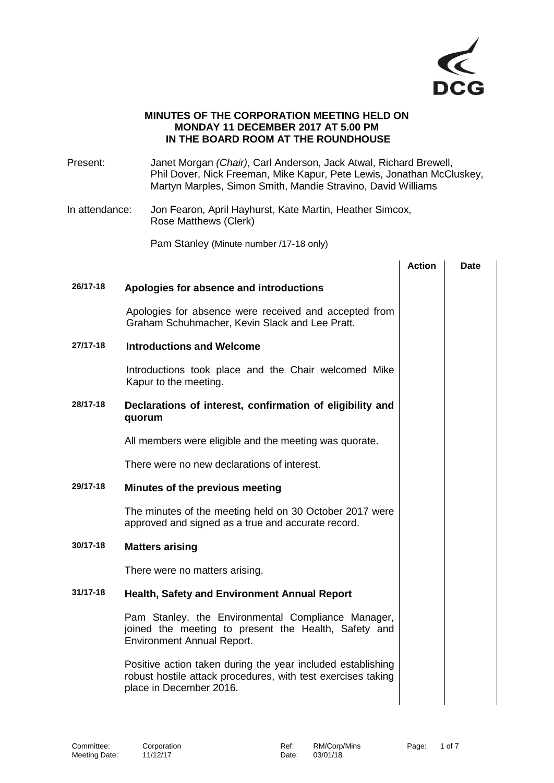

## **MINUTES OF THE CORPORATION MEETING HELD ON MONDAY 11 DECEMBER 2017 AT 5.00 PM IN THE BOARD ROOM AT THE ROUNDHOUSE**

- Present: Janet Morgan *(Chair)*, Carl Anderson, Jack Atwal, Richard Brewell, Phil Dover, Nick Freeman, Mike Kapur, Pete Lewis, Jonathan McCluskey, Martyn Marples, Simon Smith, Mandie Stravino, David Williams
- In attendance: Jon Fearon, April Hayhurst, Kate Martin, Heather Simcox, Rose Matthews (Clerk)

Pam Stanley (Minute number /17-18 only)

|          |                                                                                                                                                        | <b>Action</b> | <b>Date</b> |
|----------|--------------------------------------------------------------------------------------------------------------------------------------------------------|---------------|-------------|
| 26/17-18 | Apologies for absence and introductions                                                                                                                |               |             |
|          | Apologies for absence were received and accepted from<br>Graham Schuhmacher, Kevin Slack and Lee Pratt.                                                |               |             |
| 27/17-18 | <b>Introductions and Welcome</b>                                                                                                                       |               |             |
|          | Introductions took place and the Chair welcomed Mike<br>Kapur to the meeting.                                                                          |               |             |
| 28/17-18 | Declarations of interest, confirmation of eligibility and<br>quorum                                                                                    |               |             |
|          | All members were eligible and the meeting was quorate.                                                                                                 |               |             |
|          | There were no new declarations of interest.                                                                                                            |               |             |
| 29/17-18 | Minutes of the previous meeting                                                                                                                        |               |             |
|          | The minutes of the meeting held on 30 October 2017 were<br>approved and signed as a true and accurate record.                                          |               |             |
| 30/17-18 | <b>Matters arising</b>                                                                                                                                 |               |             |
|          | There were no matters arising.                                                                                                                         |               |             |
| 31/17-18 | <b>Health, Safety and Environment Annual Report</b>                                                                                                    |               |             |
|          | Pam Stanley, the Environmental Compliance Manager,<br>joined the meeting to present the Health, Safety and<br><b>Environment Annual Report.</b>        |               |             |
|          | Positive action taken during the year included establishing<br>robust hostile attack procedures, with test exercises taking<br>place in December 2016. |               |             |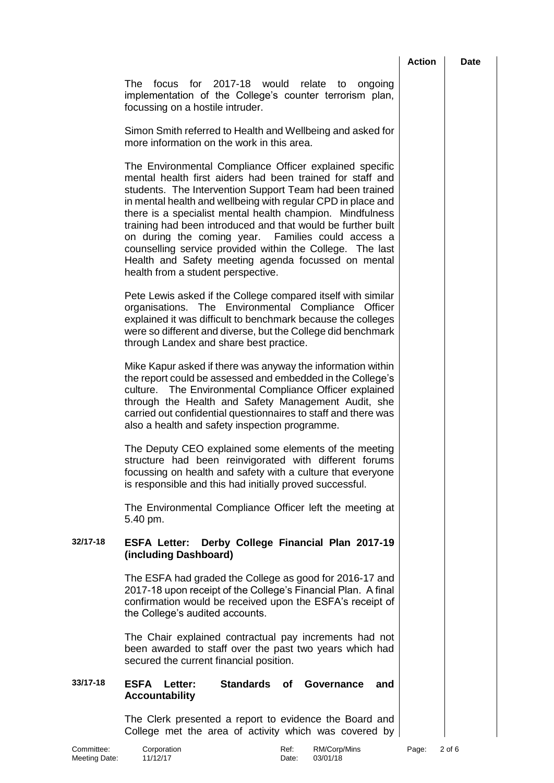| Action |  |
|--------|--|
|        |  |

**Date** 

The focus for 2017-18 would relate to ongoing implementation of the College's counter terrorism plan, focussing on a hostile intruder.

Simon Smith referred to Health and Wellbeing and asked for more information on the work in this area.

The Environmental Compliance Officer explained specific mental health first aiders had been trained for staff and students. The Intervention Support Team had been trained in mental health and wellbeing with regular CPD in place and there is a specialist mental health champion. Mindfulness training had been introduced and that would be further built on during the coming year. Families could access a counselling service provided within the College. The last Health and Safety meeting agenda focussed on mental health from a student perspective.

Pete Lewis asked if the College compared itself with similar organisations. The Environmental Compliance Officer explained it was difficult to benchmark because the colleges were so different and diverse, but the College did benchmark through Landex and share best practice.

Mike Kapur asked if there was anyway the information within the report could be assessed and embedded in the College's culture. The Environmental Compliance Officer explained through the Health and Safety Management Audit, she carried out confidential questionnaires to staff and there was also a health and safety inspection programme.

The Deputy CEO explained some elements of the meeting structure had been reinvigorated with different forums focussing on health and safety with a culture that everyone is responsible and this had initially proved successful.

The Environmental Compliance Officer left the meeting at 5.40 pm.

## **32/17-18 ESFA Letter: Derby College Financial Plan 2017-19 (including Dashboard)**

The ESFA had graded the College as good for 2016-17 and 2017-18 upon receipt of the College's Financial Plan. A final confirmation would be received upon the ESFA's receipt of the College's audited accounts.

The Chair explained contractual pay increments had not been awarded to staff over the past two years which had secured the current financial position.

## **33/17-18 ESFA Letter: Standards of Governance and Accountability**

The Clerk presented a report to evidence the Board and College met the area of activity which was covered by

Committee: Corporation Committee: Corporation Committee: RM/Corp/Mins Page: 2 of 6<br>
Meeting Date: 11/12/17 Committee Committee Committee Committee Committee Meeting Date: 11/12/17 Date: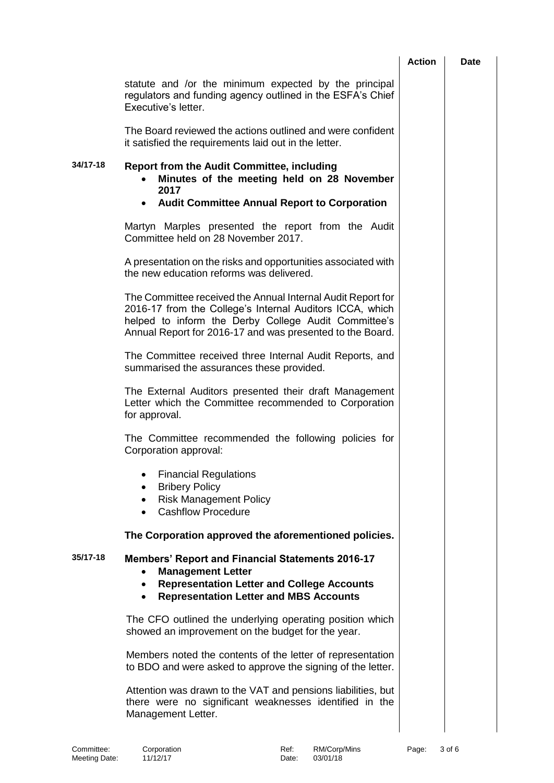|          |                                                                                                                                                                                                                                              | <b>Action</b> | <b>Date</b> |
|----------|----------------------------------------------------------------------------------------------------------------------------------------------------------------------------------------------------------------------------------------------|---------------|-------------|
|          | statute and /or the minimum expected by the principal<br>regulators and funding agency outlined in the ESFA's Chief<br>Executive's letter.                                                                                                   |               |             |
|          | The Board reviewed the actions outlined and were confident<br>it satisfied the requirements laid out in the letter.                                                                                                                          |               |             |
| 34/17-18 | <b>Report from the Audit Committee, including</b><br>Minutes of the meeting held on 28 November<br>2017                                                                                                                                      |               |             |
|          | <b>Audit Committee Annual Report to Corporation</b><br>$\bullet$                                                                                                                                                                             |               |             |
|          | Martyn Marples presented the report from the Audit<br>Committee held on 28 November 2017.                                                                                                                                                    |               |             |
|          | A presentation on the risks and opportunities associated with<br>the new education reforms was delivered.                                                                                                                                    |               |             |
|          | The Committee received the Annual Internal Audit Report for<br>2016-17 from the College's Internal Auditors ICCA, which<br>helped to inform the Derby College Audit Committee's<br>Annual Report for 2016-17 and was presented to the Board. |               |             |
|          | The Committee received three Internal Audit Reports, and<br>summarised the assurances these provided.                                                                                                                                        |               |             |
|          | The External Auditors presented their draft Management<br>Letter which the Committee recommended to Corporation<br>for approval.                                                                                                             |               |             |
|          | The Committee recommended the following policies for<br>Corporation approval:                                                                                                                                                                |               |             |
|          | <b>Financial Regulations</b><br>$\bullet$<br><b>Bribery Policy</b><br><b>Risk Management Policy</b><br>$\bullet$<br><b>Cashflow Procedure</b>                                                                                                |               |             |
|          | The Corporation approved the aforementioned policies.                                                                                                                                                                                        |               |             |
| 35/17-18 | <b>Members' Report and Financial Statements 2016-17</b><br><b>Management Letter</b><br><b>Representation Letter and College Accounts</b><br>$\bullet$<br><b>Representation Letter and MBS Accounts</b>                                       |               |             |
|          | The CFO outlined the underlying operating position which<br>showed an improvement on the budget for the year.                                                                                                                                |               |             |
|          | Members noted the contents of the letter of representation<br>to BDO and were asked to approve the signing of the letter.                                                                                                                    |               |             |
|          | Attention was drawn to the VAT and pensions liabilities, but<br>there were no significant weaknesses identified in the<br>Management Letter.                                                                                                 |               |             |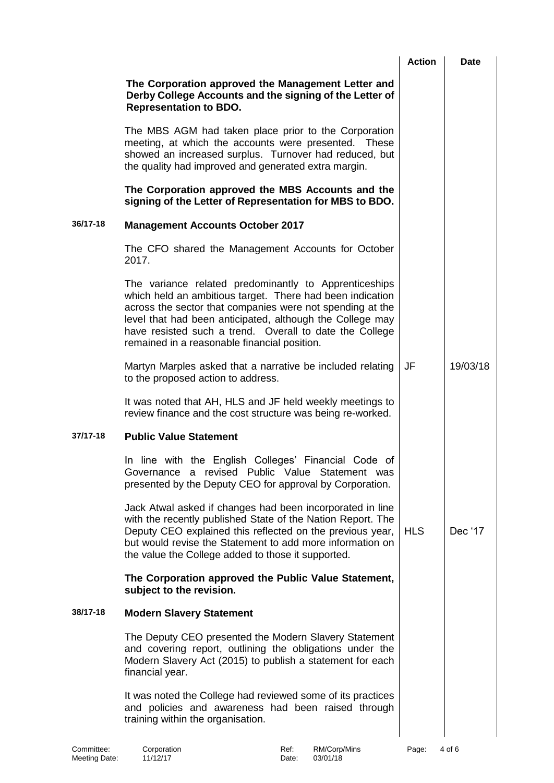|          |                                                                                                                                                                                                                                                                                                                                                         | <b>Action</b> | <b>Date</b> |
|----------|---------------------------------------------------------------------------------------------------------------------------------------------------------------------------------------------------------------------------------------------------------------------------------------------------------------------------------------------------------|---------------|-------------|
|          | The Corporation approved the Management Letter and<br>Derby College Accounts and the signing of the Letter of<br><b>Representation to BDO.</b>                                                                                                                                                                                                          |               |             |
|          | The MBS AGM had taken place prior to the Corporation<br>meeting, at which the accounts were presented. These<br>showed an increased surplus. Turnover had reduced, but<br>the quality had improved and generated extra margin.                                                                                                                          |               |             |
|          | The Corporation approved the MBS Accounts and the<br>signing of the Letter of Representation for MBS to BDO.                                                                                                                                                                                                                                            |               |             |
| 36/17-18 | <b>Management Accounts October 2017</b>                                                                                                                                                                                                                                                                                                                 |               |             |
|          | The CFO shared the Management Accounts for October<br>2017.                                                                                                                                                                                                                                                                                             |               |             |
|          | The variance related predominantly to Apprenticeships<br>which held an ambitious target. There had been indication<br>across the sector that companies were not spending at the<br>level that had been anticipated, although the College may<br>have resisted such a trend. Overall to date the College<br>remained in a reasonable financial position. |               |             |
|          | Martyn Marples asked that a narrative be included relating<br>to the proposed action to address.                                                                                                                                                                                                                                                        | JF            | 19/03/18    |
|          | It was noted that AH, HLS and JF held weekly meetings to<br>review finance and the cost structure was being re-worked.                                                                                                                                                                                                                                  |               |             |
| 37/17-18 | <b>Public Value Statement</b>                                                                                                                                                                                                                                                                                                                           |               |             |
|          | In line with the English Colleges' Financial Code of<br>Governance a revised Public Value Statement was<br>presented by the Deputy CEO for approval by Corporation.                                                                                                                                                                                     |               |             |
|          | Jack Atwal asked if changes had been incorporated in line<br>with the recently published State of the Nation Report. The<br>Deputy CEO explained this reflected on the previous year,<br>but would revise the Statement to add more information on<br>the value the College added to those it supported.                                                | <b>HLS</b>    | Dec '17     |
|          | The Corporation approved the Public Value Statement,<br>subject to the revision.                                                                                                                                                                                                                                                                        |               |             |
| 38/17-18 | <b>Modern Slavery Statement</b>                                                                                                                                                                                                                                                                                                                         |               |             |
|          | The Deputy CEO presented the Modern Slavery Statement<br>and covering report, outlining the obligations under the<br>Modern Slavery Act (2015) to publish a statement for each<br>financial year.                                                                                                                                                       |               |             |
|          | It was noted the College had reviewed some of its practices<br>and policies and awareness had been raised through<br>training within the organisation.                                                                                                                                                                                                  |               |             |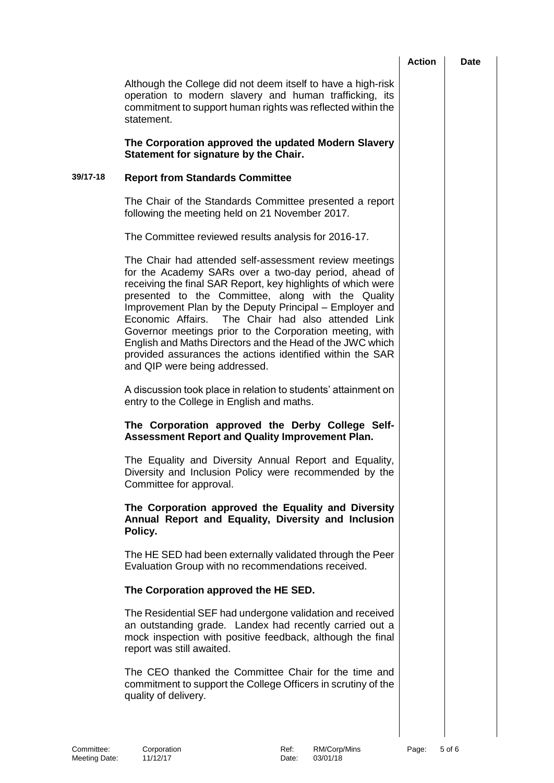|          |                                                                                                                                                                                                                                                                                                                                                                                                                                                                                                                                                                              | <b>Action</b> | <b>Date</b> |
|----------|------------------------------------------------------------------------------------------------------------------------------------------------------------------------------------------------------------------------------------------------------------------------------------------------------------------------------------------------------------------------------------------------------------------------------------------------------------------------------------------------------------------------------------------------------------------------------|---------------|-------------|
|          | Although the College did not deem itself to have a high-risk<br>operation to modern slavery and human trafficking, its<br>commitment to support human rights was reflected within the<br>statement.                                                                                                                                                                                                                                                                                                                                                                          |               |             |
|          | The Corporation approved the updated Modern Slavery<br>Statement for signature by the Chair.                                                                                                                                                                                                                                                                                                                                                                                                                                                                                 |               |             |
| 39/17-18 | <b>Report from Standards Committee</b>                                                                                                                                                                                                                                                                                                                                                                                                                                                                                                                                       |               |             |
|          | The Chair of the Standards Committee presented a report<br>following the meeting held on 21 November 2017.                                                                                                                                                                                                                                                                                                                                                                                                                                                                   |               |             |
|          | The Committee reviewed results analysis for 2016-17.                                                                                                                                                                                                                                                                                                                                                                                                                                                                                                                         |               |             |
|          | The Chair had attended self-assessment review meetings<br>for the Academy SARs over a two-day period, ahead of<br>receiving the final SAR Report, key highlights of which were<br>presented to the Committee, along with the Quality<br>Improvement Plan by the Deputy Principal - Employer and<br>Economic Affairs. The Chair had also attended Link<br>Governor meetings prior to the Corporation meeting, with<br>English and Maths Directors and the Head of the JWC which<br>provided assurances the actions identified within the SAR<br>and QIP were being addressed. |               |             |
|          | A discussion took place in relation to students' attainment on<br>entry to the College in English and maths.                                                                                                                                                                                                                                                                                                                                                                                                                                                                 |               |             |
|          | The Corporation approved the Derby College Self-<br><b>Assessment Report and Quality Improvement Plan.</b>                                                                                                                                                                                                                                                                                                                                                                                                                                                                   |               |             |
|          | The Equality and Diversity Annual Report and Equality,<br>Diversity and Inclusion Policy were recommended by the<br>Committee for approval.                                                                                                                                                                                                                                                                                                                                                                                                                                  |               |             |
|          | The Corporation approved the Equality and Diversity<br>Annual Report and Equality, Diversity and Inclusion<br>Policy.                                                                                                                                                                                                                                                                                                                                                                                                                                                        |               |             |
|          | The HE SED had been externally validated through the Peer<br>Evaluation Group with no recommendations received.                                                                                                                                                                                                                                                                                                                                                                                                                                                              |               |             |
|          | The Corporation approved the HE SED.                                                                                                                                                                                                                                                                                                                                                                                                                                                                                                                                         |               |             |
|          | The Residential SEF had undergone validation and received<br>an outstanding grade. Landex had recently carried out a<br>mock inspection with positive feedback, although the final<br>report was still awaited.                                                                                                                                                                                                                                                                                                                                                              |               |             |
|          | The CEO thanked the Committee Chair for the time and<br>commitment to support the College Officers in scrutiny of the<br>quality of delivery.                                                                                                                                                                                                                                                                                                                                                                                                                                |               |             |
|          |                                                                                                                                                                                                                                                                                                                                                                                                                                                                                                                                                                              |               |             |